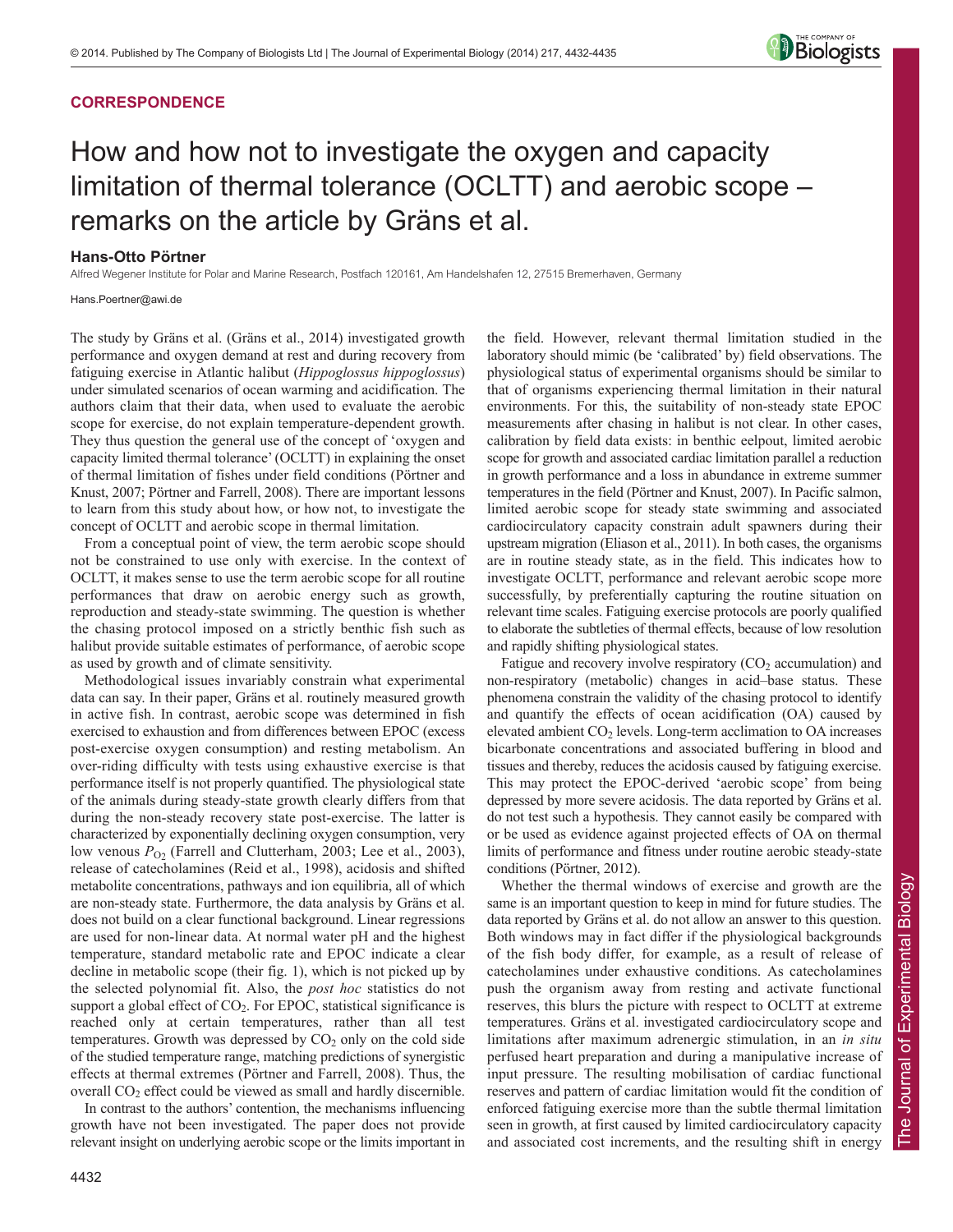### **CORRESPONDENCE**



# How and how not to investigate the oxygen and capacity limitation of thermal tolerance (OCLTT) and aerobic scope – remarks on the article by Gräns et al.

### **Hans-Otto Pörtner**

Alfred Wegener Institute for Polar and Marine Research, Postfach 120161, Am Handelshafen 12, 27515 Bremerhaven, Germany

#### Hans.Poertner@awi.de

The study by Gräns et al. (Gräns et al., 2014) investigated growth performance and oxygen demand at rest and during recovery from fatiguing exercise in Atlantic halibut (*Hippoglossus hippoglossus*) under simulated scenarios of ocean warming and acidification. The authors claim that their data, when used to evaluate the aerobic scope for exercise, do not explain temperature-dependent growth. They thus question the general use of the concept of 'oxygen and capacity limited thermal tolerance' (OCLTT) in explaining the onset of thermal limitation of fishes under field conditions (Pörtner and Knust, 2007; Pörtner and Farrell, 2008). There are important lessons to learn from this study about how, or how not, to investigate the concept of OCLTT and aerobic scope in thermal limitation.

From a conceptual point of view, the term aerobic scope should not be constrained to use only with exercise. In the context of OCLTT, it makes sense to use the term aerobic scope for all routine performances that draw on aerobic energy such as growth, reproduction and steady-state swimming. The question is whether the chasing protocol imposed on a strictly benthic fish such as halibut provide suitable estimates of performance, of aerobic scope as used by growth and of climate sensitivity.

Methodological issues invariably constrain what experimental data can say. In their paper, Gräns et al. routinely measured growth in active fish. In contrast, aerobic scope was determined in fish exercised to exhaustion and from differences between EPOC (excess post-exercise oxygen consumption) and resting metabolism. An over-riding difficulty with tests using exhaustive exercise is that performance itself is not properly quantified. The physiological state of the animals during steady-state growth clearly differs from that during the non-steady recovery state post-exercise. The latter is characterized by exponentially declining oxygen consumption, very low venous  $P_{O2}$  (Farrell and Clutterham, 2003; Lee et al., 2003), release of catecholamines (Reid et al., 1998), acidosis and shifted metabolite concentrations, pathways and ion equilibria, all of which are non-steady state. Furthermore, the data analysis by Gräns et al. does not build on a clear functional background. Linear regressions are used for non-linear data. At normal water pH and the highest temperature, standard metabolic rate and EPOC indicate a clear decline in metabolic scope (their fig. 1), which is not picked up by the selected polynomial fit. Also, the *post hoc* statistics do not support a global effect of  $CO<sub>2</sub>$ . For EPOC, statistical significance is reached only at certain temperatures, rather than all test temperatures. Growth was depressed by  $CO<sub>2</sub>$  only on the cold side of the studied temperature range, matching predictions of synergistic effects at thermal extremes (Pörtner and Farrell, 2008). Thus, the overall  $CO<sub>2</sub>$  effect could be viewed as small and hardly discernible.

In contrast to the authors' contention, the mechanisms influencing growth have not been investigated. The paper does not provide relevant insight on underlying aerobic scope or the limits important in laboratory should mimic (be 'calibrated' by) field observations. The physiological status of experimental organisms should be similar to that of organisms experiencing thermal limitation in their natural environments. For this, the suitability of non-steady state EPOC measurements after chasing in halibut is not clear. In other cases, calibration by field data exists: in benthic eelpout, limited aerobic scope for growth and associated cardiac limitation parallel a reduction in growth performance and a loss in abundance in extreme summer temperatures in the field (Pörtner and Knust, 2007). In Pacific salmon, limited aerobic scope for steady state swimming and associated cardiocirculatory capacity constrain adult spawners during their upstream migration (Eliason et al., 2011). In both cases, the organisms are in routine steady state, as in the field. This indicates how to investigate OCLTT, performance and relevant aerobic scope more successfully, by preferentially capturing the routine situation on relevant time scales. Fatiguing exercise protocols are poorly qualified to elaborate the subtleties of thermal effects, because of low resolution and rapidly shifting physiological states. Fatigue and recovery involve respiratory  $(CO<sub>2</sub>$  accumulation) and

the field. However, relevant thermal limitation studied in the

non-respiratory (metabolic) changes in acid–base status. These phenomena constrain the validity of the chasing protocol to identify and quantify the effects of ocean acidification (OA) caused by elevated ambient CO2 levels. Long-term acclimation to OA increases bicarbonate concentrations and associated buffering in blood and tissues and thereby, reduces the acidosis caused by fatiguing exercise. This may protect the EPOC-derived 'aerobic scope' from being depressed by more severe acidosis. The data reported by Gräns et al. do not test such a hypothesis. They cannot easily be compared with or be used as evidence against projected effects of OA on thermal limits of performance and fitness under routine aerobic steady-state conditions (Pörtner, 2012).

Whether the thermal windows of exercise and growth are the same is an important question to keep in mind for future studies. The data reported by Gräns et al. do not allow an answer to this question. Both windows may in fact differ if the physiological backgrounds of the fish body differ, for example, as a result of release of catecholamines under exhaustive conditions. As catecholamines push the organism away from resting and activate functional reserves, this blurs the picture with respect to OCLTT at extreme temperatures. Gräns et al. investigated cardiocirculatory scope and limitations after maximum adrenergic stimulation, in an *in situ* perfused heart preparation and during a manipulative increase of input pressure. The resulting mobilisation of cardiac functional reserves and pattern of cardiac limitation would fit the condition of enforced fatiguing exercise more than the subtle thermal limitation seen in growth, at first caused by limited cardiocirculatory capacity and associated cost increments, and the resulting shift in energy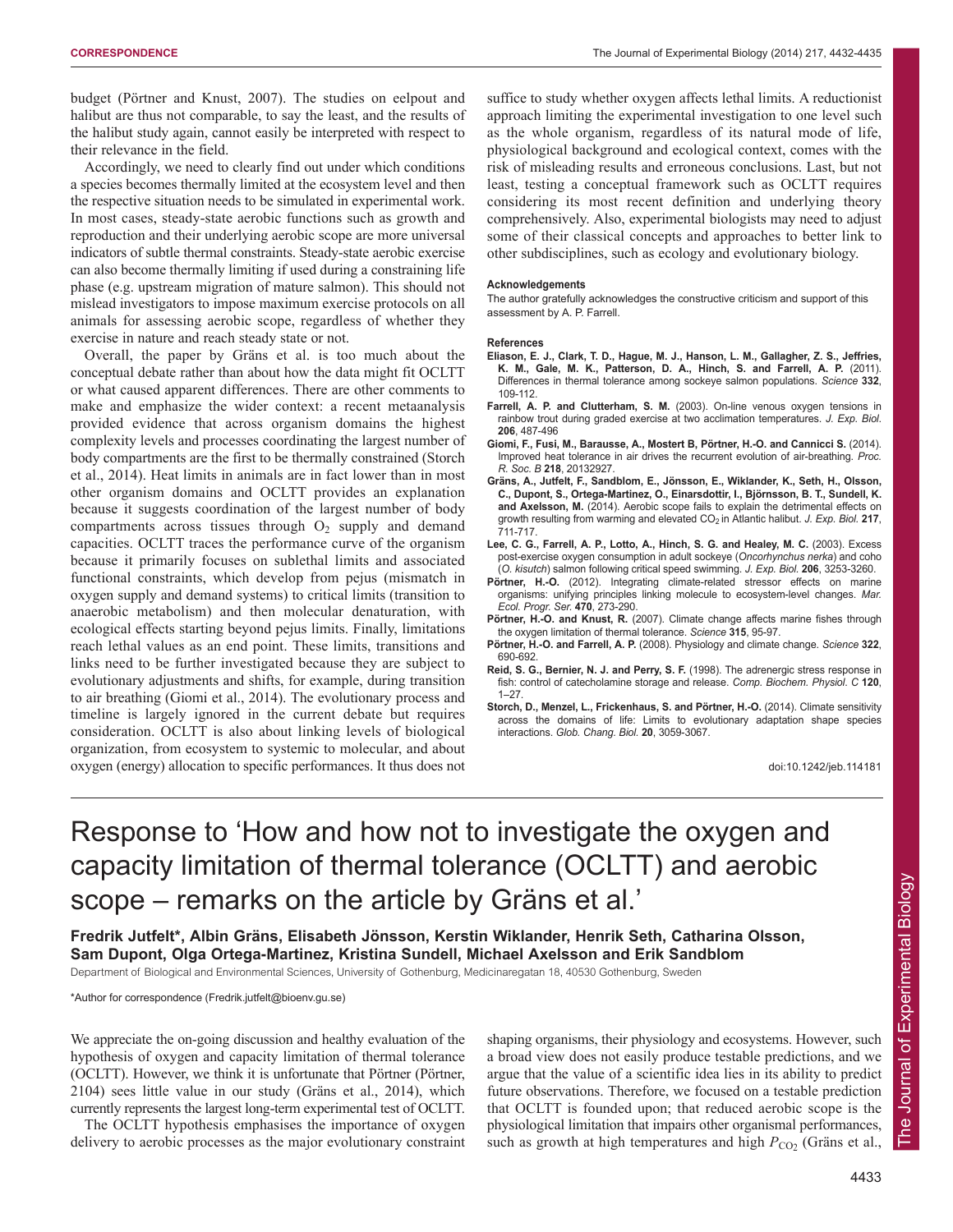budget (Pörtner and Knust, 2007). The studies on eelpout and halibut are thus not comparable, to say the least, and the results of the halibut study again, cannot easily be interpreted with respect to their relevance in the field.

Accordingly, we need to clearly find out under which conditions a species becomes thermally limited at the ecosystem level and then the respective situation needs to be simulated in experimental work. In most cases, steady-state aerobic functions such as growth and reproduction and their underlying aerobic scope are more universal indicators of subtle thermal constraints. Steady-state aerobic exercise can also become thermally limiting if used during a constraining life phase (e.g. upstream migration of mature salmon). This should not mislead investigators to impose maximum exercise protocols on all animals for assessing aerobic scope, regardless of whether they exercise in nature and reach steady state or not.

Overall, the paper by Gräns et al. is too much about the conceptual debate rather than about how the data might fit OCLTT or what caused apparent differences. There are other comments to make and emphasize the wider context: a recent metaanalysis provided evidence that across organism domains the highest complexity levels and processes coordinating the largest number of body compartments are the first to be thermally constrained (Storch et al., 2014). Heat limits in animals are in fact lower than in most other organism domains and OCLTT provides an explanation because it suggests coordination of the largest number of body compartments across tissues through  $O<sub>2</sub>$  supply and demand capacities. OCLTT traces the performance curve of the organism because it primarily focuses on sublethal limits and associated functional constraints, which develop from pejus (mismatch in oxygen supply and demand systems) to critical limits (transition to anaerobic metabolism) and then molecular denaturation, with ecological effects starting beyond pejus limits. Finally, limitations reach lethal values as an end point. These limits, transitions and links need to be further investigated because they are subject to evolutionary adjustments and shifts, for example, during transition to air breathing (Giomi et al., 2014). The evolutionary process and timeline is largely ignored in the current debate but requires consideration. OCLTT is also about linking levels of biological organization, from ecosystem to systemic to molecular, and about oxygen (energy) allocation to specific performances. It thus does not

suffice to study whether oxygen affects lethal limits. A reductionist approach limiting the experimental investigation to one level such as the whole organism, regardless of its natural mode of life, physiological background and ecological context, comes with the risk of misleading results and erroneous conclusions. Last, but not least, testing a conceptual framework such as OCLTT requires considering its most recent definition and underlying theory comprehensively. Also, experimental biologists may need to adjust some of their classical concepts and approaches to better link to other subdisciplines, such as ecology and evolutionary biology.

#### **Acknowledgements**

The author gratefully acknowledges the constructive criticism and support of this assessment by A. P. Farrell.

#### **References**

- **Eliason, E. J., Clark, T. D., Hague, M. J., Hanson, L. M., Gallagher, Z. S., Jeffries, K. M., Gale, M. K., Patterson, D. A., Hinch, S. and Farrell, A. P.** (2011). Differences in thermal tolerance among sockeye salmon populations. *Science* **332**, 109-112.
- **Farrell, A. P. and Clutterham, S. M.** (2003). On-line venous oxygen tensions in rainbow trout during graded exercise at two acclimation temperatures. *J. Exp. Biol*. **206**, 487-496
- **Giomi, F., Fusi, M., Barausse, A., Mostert B, Pörtner, H.-O. and Cannicci S.** (2014). Improved heat tolerance in air drives the recurrent evolution of air-breathing. *Proc. R. Soc. B* **218**, 20132927.
- **Gräns, A., Jutfelt, F., Sandblom, E., Jönsson, E., Wiklander, K., Seth, H., Olsson, C., Dupont, S., Ortega-Martinez, O., Einarsdottir, I., Björnsson, B. T., Sundell, K. and Axelsson, M.** (2014). Aerobic scope fails to explain the detrimental effects on growth resulting from warming and elevated CO<sub>2</sub> in Atlantic halibut. J. Exp. Biol. 217, 711-717.
- **Lee, C. G., Farrell, A. P., Lotto, A., Hinch, S. G. and Healey, M. C.** (2003). Excess post-exercise oxygen consumption in adult sockeye (*Oncorhynchus nerka*) and coho (*O. kisutch*) salmon following critical speed swimming. *J. Exp. Biol.* **206**, 3253-3260.
- Pörtner, H.-O. (2012). Integrating climate-related stressor effects on marine organisms: unifying principles linking molecule to ecosystem-level changes. *Mar. Ecol. Progr. Ser.* **470**, 273-290.
- Pörtner, H.-O. and Knust, R. (2007). Climate change affects marine fishes through the oxygen limitation of thermal tolerance. *Science* **315**, 95-97.
- **Pörtner, H.-O. and Farrell, A. P.** (2008). Physiology and climate change. *Science* **322**, 690-692.
- **Reid, S. G., Bernier, N. J. and Perry, S. F.** (1998). The adrenergic stress response in fish: control of catecholamine storage and release. *Comp. Biochem. Physiol*. *C* **120**,  $1 - 27$ .
- **Storch, D., Menzel, L., Frickenhaus, S. and Pörtner, H.-O.** (2014). Climate sensitivity across the domains of life: Limits to evolutionary adaptation shape species interactions. *Glob. Chang. Biol.* **20**, 3059-3067.

doi:10.1242/jeb.114181

# Response to 'How and how not to investigate the oxygen and capacity limitation of thermal tolerance (OCLTT) and aerobic scope – remarks on the article by Gräns et al.'

**Fredrik Jutfelt\*, Albin Gräns, Elisabeth Jönsson, Kerstin Wiklander, Henrik Seth, Catharina Olsson, Sam Dupont, Olga Ortega-Martinez, Kristina Sundell, Michael Axelsson and Erik Sandblom**

Department of Biological and Environmental Sciences, University of Gothenburg, Medicinaregatan 18, 40530 Gothenburg, Sweden

\*Author for correspondence (Fredrik.jutfelt@bioenv.gu.se)

We appreciate the on-going discussion and healthy evaluation of the hypothesis of oxygen and capacity limitation of thermal tolerance (OCLTT). However, we think it is unfortunate that Pörtner (Pörtner, 2104) sees little value in our study (Gräns et al., 2014), which currently represents the largest long-term experimental test of OCLTT.

The OCLTT hypothesis emphasises the importance of oxygen delivery to aerobic processes as the major evolutionary constraint shaping organisms, their physiology and ecosystems. However, such a broad view does not easily produce testable predictions, and we argue that the value of a scientific idea lies in its ability to predict future observations. Therefore, we focused on a testable prediction that OCLTT is founded upon; that reduced aerobic scope is the physiological limitation that impairs other organismal performances, such as growth at high temperatures and high  $P_{CO_2}$  (Gräns et al.,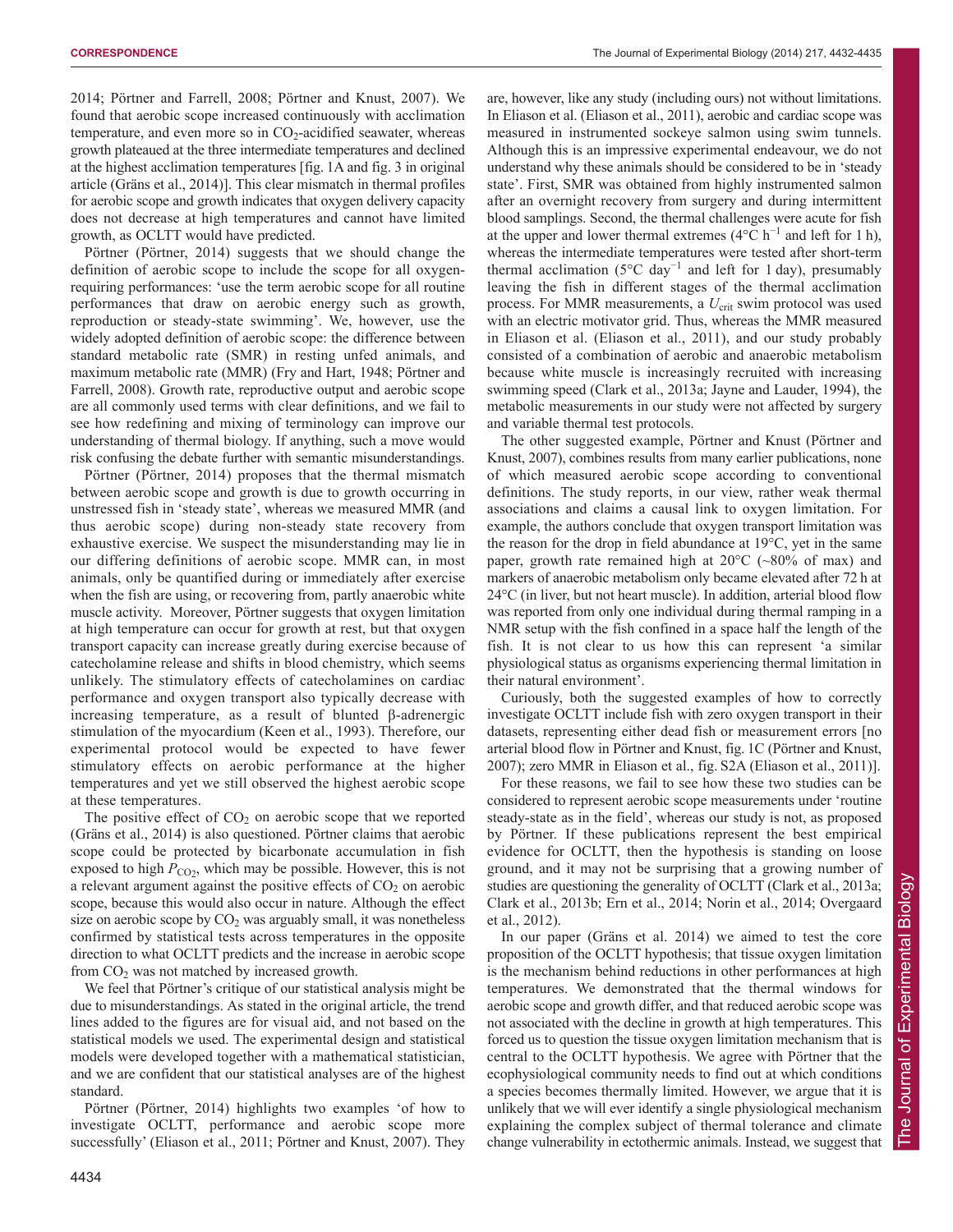2014; Pörtner and Farrell, 2008; Pörtner and Knust, 2007). We found that aerobic scope increased continuously with acclimation temperature, and even more so in  $CO<sub>2</sub>$ -acidified seawater, whereas growth plateaued at the three intermediate temperatures and declined at the highest acclimation temperatures [fig. 1A and fig. 3 in original article (Gräns et al., 2014)]. This clear mismatch in thermal profiles for aerobic scope and growth indicates that oxygen delivery capacity does not decrease at high temperatures and cannot have limited growth, as OCLTT would have predicted.

Pörtner (Pörtner, 2014) suggests that we should change the definition of aerobic scope to include the scope for all oxygenrequiring performances: 'use the term aerobic scope for all routine performances that draw on aerobic energy such as growth, reproduction or steady-state swimming'. We, however, use the widely adopted definition of aerobic scope: the difference between standard metabolic rate (SMR) in resting unfed animals, and maximum metabolic rate (MMR) (Fry and Hart, 1948; Pörtner and Farrell, 2008). Growth rate, reproductive output and aerobic scope are all commonly used terms with clear definitions, and we fail to see how redefining and mixing of terminology can improve our understanding of thermal biology. If anything, such a move would risk confusing the debate further with semantic misunderstandings.

Pörtner (Pörtner, 2014) proposes that the thermal mismatch between aerobic scope and growth is due to growth occurring in unstressed fish in 'steady state', whereas we measured MMR (and thus aerobic scope) during non-steady state recovery from exhaustive exercise. We suspect the misunderstanding may lie in our differing definitions of aerobic scope. MMR can, in most animals, only be quantified during or immediately after exercise when the fish are using, or recovering from, partly anaerobic white muscle activity. Moreover, Pörtner suggests that oxygen limitation at high temperature can occur for growth at rest, but that oxygen transport capacity can increase greatly during exercise because of catecholamine release and shifts in blood chemistry, which seems unlikely. The stimulatory effects of catecholamines on cardiac performance and oxygen transport also typically decrease with increasing temperature, as a result of blunted β-adrenergic stimulation of the myocardium (Keen et al., 1993). Therefore, our experimental protocol would be expected to have fewer stimulatory effects on aerobic performance at the higher temperatures and yet we still observed the highest aerobic scope at these temperatures.

The positive effect of  $CO<sub>2</sub>$  on aerobic scope that we reported (Gräns et al., 2014) is also questioned. Pörtner claims that aerobic scope could be protected by bicarbonate accumulation in fish exposed to high  $P_{CO<sub>2</sub>}$ , which may be possible. However, this is not a relevant argument against the positive effects of  $CO<sub>2</sub>$  on aerobic scope, because this would also occur in nature. Although the effect size on aerobic scope by  $CO<sub>2</sub>$  was arguably small, it was nonetheless confirmed by statistical tests across temperatures in the opposite direction to what OCLTT predicts and the increase in aerobic scope from  $CO<sub>2</sub>$  was not matched by increased growth.

We feel that Pörtner's critique of our statistical analysis might be due to misunderstandings. As stated in the original article, the trend lines added to the figures are for visual aid, and not based on the statistical models we used. The experimental design and statistical models were developed together with a mathematical statistician, and we are confident that our statistical analyses are of the highest standard.

Pörtner (Pörtner, 2014) highlights two examples 'of how to investigate OCLTT, performance and aerobic scope more successfully' (Eliason et al., 2011; Pörtner and Knust, 2007). They

are, however, like any study (including ours) not without limitations. In Eliason et al. (Eliason et al., 2011), aerobic and cardiac scope was measured in instrumented sockeye salmon using swim tunnels. Although this is an impressive experimental endeavour, we do not understand why these animals should be considered to be in 'steady state'. First, SMR was obtained from highly instrumented salmon after an overnight recovery from surgery and during intermittent blood samplings. Second, the thermal challenges were acute for fish at the upper and lower thermal extremes ( $4^{\circ}$ C h<sup>-1</sup> and left for 1 h), whereas the intermediate temperatures were tested after short-term thermal acclimation (5 $^{\circ}$ C day<sup>-1</sup> and left for 1 day), presumably leaving the fish in different stages of the thermal acclimation process. For MMR measurements, a *U*<sub>crit</sub> swim protocol was used with an electric motivator grid. Thus, whereas the MMR measured in Eliason et al. (Eliason et al., 2011), and our study probably consisted of a combination of aerobic and anaerobic metabolism because white muscle is increasingly recruited with increasing swimming speed (Clark et al., 2013a; Jayne and Lauder, 1994), the metabolic measurements in our study were not affected by surgery and variable thermal test protocols.

The other suggested example, Pörtner and Knust (Pörtner and Knust, 2007), combines results from many earlier publications, none of which measured aerobic scope according to conventional definitions. The study reports, in our view, rather weak thermal associations and claims a causal link to oxygen limitation. For example, the authors conclude that oxygen transport limitation was the reason for the drop in field abundance at 19°C, yet in the same paper, growth rate remained high at  $20^{\circ}$ C ( $\sim 80\%$  of max) and markers of anaerobic metabolism only became elevated after 72 h at 24°C (in liver, but not heart muscle). In addition, arterial blood flow was reported from only one individual during thermal ramping in a NMR setup with the fish confined in a space half the length of the fish. It is not clear to us how this can represent 'a similar physiological status as organisms experiencing thermal limitation in their natural environment'.

Curiously, both the suggested examples of how to correctly investigate OCLTT include fish with zero oxygen transport in their datasets, representing either dead fish or measurement errors [no arterial blood flow in Pörtner and Knust, fig. 1C (Pörtner and Knust, 2007); zero MMR in Eliason et al., fig. S2A (Eliason et al., 2011)].

For these reasons, we fail to see how these two studies can be considered to represent aerobic scope measurements under 'routine steady-state as in the field', whereas our study is not, as proposed by Pörtner. If these publications represent the best empirical evidence for OCLTT, then the hypothesis is standing on loose ground, and it may not be surprising that a growing number of studies are questioning the generality of OCLTT (Clark et al., 2013a; Clark et al., 2013b; Ern et al., 2014; Norin et al., 2014; Overgaard et al., 2012).

In our paper (Gräns et al. 2014) we aimed to test the core proposition of the OCLTT hypothesis; that tissue oxygen limitation is the mechanism behind reductions in other performances at high temperatures. We demonstrated that the thermal windows for aerobic scope and growth differ, and that reduced aerobic scope was not associated with the decline in growth at high temperatures. This forced us to question the tissue oxygen limitation mechanism that is central to the OCLTT hypothesis. We agree with Pörtner that the ecophysiological community needs to find out at which conditions a species becomes thermally limited. However, we argue that it is unlikely that we will ever identify a single physiological mechanism explaining the complex subject of thermal tolerance and climate change vulnerability in ectothermic animals. Instead, we suggest that